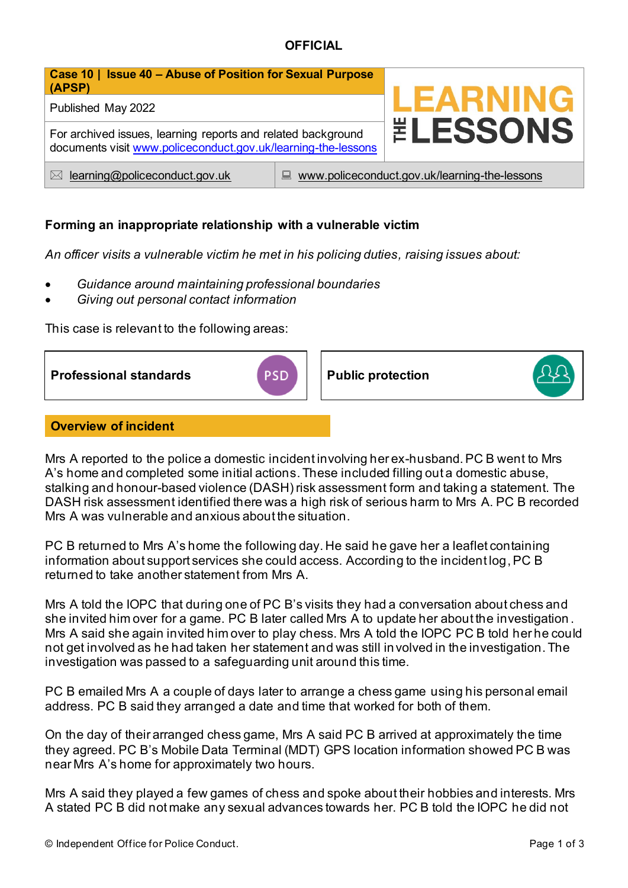# **OFFICIAL**

| Case 10   Issue 40 - Abuse of Position for Sexual Purpose<br>(APSP)                                                           |                                                    |                 |  |
|-------------------------------------------------------------------------------------------------------------------------------|----------------------------------------------------|-----------------|--|
| Published May 2022                                                                                                            |                                                    | <b>LEARNING</b> |  |
| For archived issues, learning reports and related background<br>documents visit www.policeconduct.gov.uk/learning-the-lessons |                                                    | <b>ELESSONS</b> |  |
| learning@policeconduct.gov.uk<br>$\bowtie$                                                                                    | www.policeconduct.gov.uk/learning-the-lessons<br>鳳 |                 |  |

# **Forming an inappropriate relationship with a vulnerable victim**

*An officer visits a vulnerable victim he met in his policing duties, raising issues about:* 

- *Guidance around maintaining professional boundaries*
- *Giving out personal contact information*

This case is relevant to the following areas:

**Professional standards Public protection Overview of incident**

Mrs A reported to the police a domestic incident involving her ex-husband. PC B went to Mrs A's home and completed some initial actions. These included filling out a domestic abuse, stalking and honour-based violence (DASH) risk assessment form and taking a statement. The DASH risk assessment identified there was a high risk of serious harm to Mrs A. PC B recorded Mrs A was vulnerable and anxious about the situation.

PC B returned to Mrs A's home the following day. He said he gave her a leaflet containing information about support services she could access. According to the incident log,PC B returned to take another statement from Mrs A.

Mrs A told the IOPC that during one of PC B's visits they had a conversation about chess and she invited him over for a game. PC B later called Mrs A to update her about the investigation . Mrs A said she again invited him over to play chess. Mrs A told the IOPC PC B told her he could not get involved as he had taken her statement and was still involved in the investigation. The investigation was passed to a safeguarding unit around this time.

PC B emailed Mrs A a couple of days later to arrange a chess game using his personal email address. PC B said they arranged a date and time that worked for both of them.

On the day of their arranged chess game, Mrs A said PC B arrived at approximately the time they agreed. PC B's Mobile Data Terminal (MDT) GPS location information showed PC B was near Mrs A's home for approximately two hours.

Mrs A said they played a few games of chess and spoke about their hobbies and interests. Mrs A stated PC B did not make any sexual advances towards her. PC B told the IOPC he did not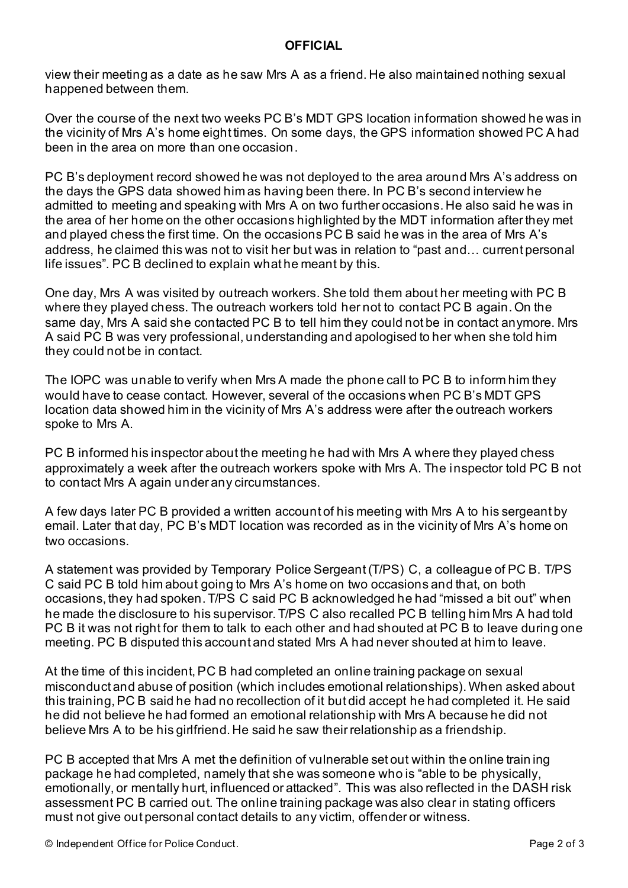#### **OFFICIAL**

view their meeting as a date as he saw Mrs A as a friend. He also maintained nothing sexual happened between them.

Over the course of the next two weeks PC B's MDT GPS location information showed he was in the vicinity of Mrs A's home eight times. On some days, the GPS information showed PC A had been in the area on more than one occasion.

PC B's deployment record showed he was not deployed to the area around Mrs A's address on the days the GPS data showed him as having been there. In PC B's second interview he admitted to meeting and speaking with Mrs A on two further occasions. He also said he was in the area of her home on the other occasions highlighted by the MDT information after they met and played chess the first time. On the occasions PC B said he was in the area of Mrs A's address, he claimed this was not to visit her but was in relation to "past and… current personal life issues". PC B declined to explain what he meant by this.

One day, Mrs A was visited by outreach workers. She told them about her meeting with PC B where they played chess. The outreach workers told her not to contact PC B again. On the same day. Mrs A said she contacted PC B to tell him they could not be in contact anymore. Mrs A said PC B was very professional, understanding and apologised to her when she told him they could not be in contact.

The IOPC was unable to verify when Mrs A made the phone call to PC B to inform him they would have to cease contact. However, several of the occasions when PC B's MDT GPS location data showed him in the vicinity of Mrs A's address were after the outreach workers spoke to Mrs A.

PC B informed his inspector about the meeting he had with Mrs A where they played chess approximately a week after the outreach workers spoke with Mrs A. The inspector told PC B not to contact Mrs A again under any circumstances.

A few days later PC B provided a written account of his meeting with Mrs A to his sergeant by email. Later that day, PC B's MDT location was recorded as in the vicinity of Mrs A's home on two occasions.

A statement was provided by Temporary Police Sergeant (T/PS) C, a colleague of PC B. T/PS C said PC B told him about going to Mrs A's home on two occasions and that, on both occasions, they had spoken. T/PS C said PC B acknowledged he had "missed a bit out" when he made the disclosure to his supervisor. T/PS C also recalled PC B telling him Mrs A had told PC B it was not right for them to talk to each other and had shouted at PC B to leave during one meeting. PC B disputed this account and stated Mrs A had never shouted at him to leave.

At the time of this incident, PC B had completed an online training package on sexual misconduct and abuse of position (which includes emotional relationships). When asked about this training, PC B said he had no recollection of it but did accept he had completed it. He said he did not believe he had formed an emotional relationship with Mrs A because he did not believe Mrs A to be his girlfriend. He said he saw their relationship as a friendship.

PC B accepted that Mrs A met the definition of vulnerable set out within the online train ing package he had completed, namely that she was someone who is "able to be physically, emotionally, or mentally hurt, influenced or attacked". This was also reflected in the DASH risk assessment PC B carried out. The online training package was also clear in stating officers must not give out personal contact details to any victim, offender or witness.